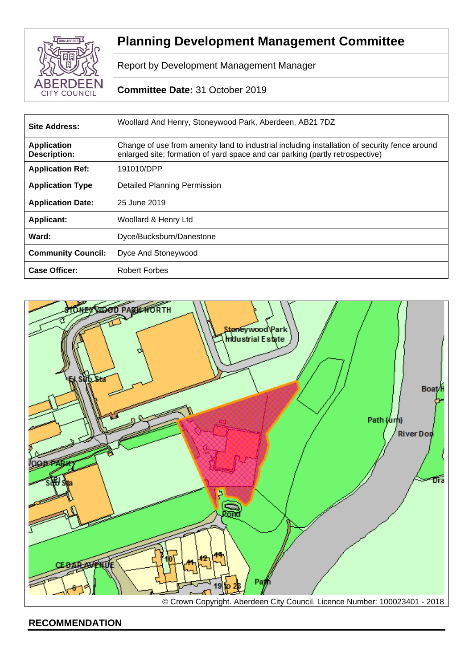

# **Planning Development Management Committee**

Report by Development Management Manager

# **Committee Date:** 31 October 2019

| <b>Site Address:</b>               | Woollard And Henry, Stoneywood Park, Aberdeen, AB21 7DZ                                                                                                                        |  |
|------------------------------------|--------------------------------------------------------------------------------------------------------------------------------------------------------------------------------|--|
| <b>Application</b><br>Description: | Change of use from amenity land to industrial including installation of security fence around<br>enlarged site; formation of yard space and car parking (partly retrospective) |  |
| <b>Application Ref:</b>            | 191010/DPP                                                                                                                                                                     |  |
| <b>Application Type</b>            | <b>Detailed Planning Permission</b>                                                                                                                                            |  |
| <b>Application Date:</b>           | 25 June 2019                                                                                                                                                                   |  |
| <b>Applicant:</b>                  | Woollard & Henry Ltd                                                                                                                                                           |  |
| Ward:                              | Dyce/Bucksburn/Danestone                                                                                                                                                       |  |
| <b>Community Council:</b>          | Dyce And Stoneywood                                                                                                                                                            |  |
| <b>Case Officer:</b>               | <b>Robert Forbes</b>                                                                                                                                                           |  |



**RECOMMENDATION**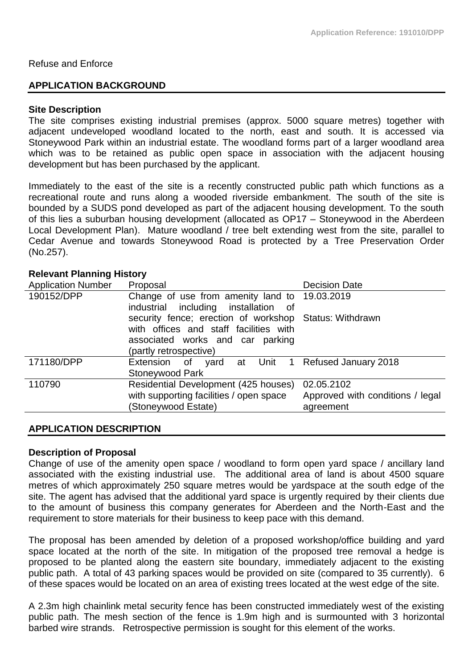## Refuse and Enforce

# **APPLICATION BACKGROUND**

#### **Site Description**

The site comprises existing industrial premises (approx. 5000 square metres) together with adjacent undeveloped woodland located to the north, east and south. It is accessed via Stoneywood Park within an industrial estate. The woodland forms part of a larger woodland area which was to be retained as public open space in association with the adjacent housing development but has been purchased by the applicant.

Immediately to the east of the site is a recently constructed public path which functions as a recreational route and runs along a wooded riverside embankment. The south of the site is bounded by a SUDS pond developed as part of the adjacent housing development. To the south of this lies a suburban housing development (allocated as OP17 – Stoneywood in the Aberdeen Local Development Plan). Mature woodland / tree belt extending west from the site, parallel to Cedar Avenue and towards Stoneywood Road is protected by a Tree Preservation Order (No.257).

# **Relevant Planning History**

| <b>Application Number</b> | Proposal                                               | <b>Decision Date</b>             |
|---------------------------|--------------------------------------------------------|----------------------------------|
| 190152/DPP                | Change of use from amenity land to 19.03.2019          |                                  |
|                           | industrial including installation of                   |                                  |
|                           | security fence; erection of workshop Status: Withdrawn |                                  |
|                           | with offices and staff facilities with                 |                                  |
|                           | associated works and car parking                       |                                  |
|                           | (partly retrospective)                                 |                                  |
| 171180/DPP                | Extension of yard at Unit 1 Refused January 2018       |                                  |
|                           | <b>Stoneywood Park</b>                                 |                                  |
| 110790                    | Residential Development (425 houses)                   | 02.05.2102                       |
|                           | with supporting facilities / open space                | Approved with conditions / legal |
|                           | (Stoneywood Estate)                                    | agreement                        |
|                           |                                                        |                                  |

#### **APPLICATION DESCRIPTION**

#### **Description of Proposal**

Change of use of the amenity open space / woodland to form open yard space / ancillary land associated with the existing industrial use. The additional area of land is about 4500 square metres of which approximately 250 square metres would be yardspace at the south edge of the site. The agent has advised that the additional yard space is urgently required by their clients due to the amount of business this company generates for Aberdeen and the North-East and the requirement to store materials for their business to keep pace with this demand.

The proposal has been amended by deletion of a proposed workshop/office building and yard space located at the north of the site. In mitigation of the proposed tree removal a hedge is proposed to be planted along the eastern site boundary, immediately adjacent to the existing public path. A total of 43 parking spaces would be provided on site (compared to 35 currently). 6 of these spaces would be located on an area of existing trees located at the west edge of the site.

A 2.3m high chainlink metal security fence has been constructed immediately west of the existing public path. The mesh section of the fence is 1.9m high and is surmounted with 3 horizontal barbed wire strands. Retrospective permission is sought for this element of the works.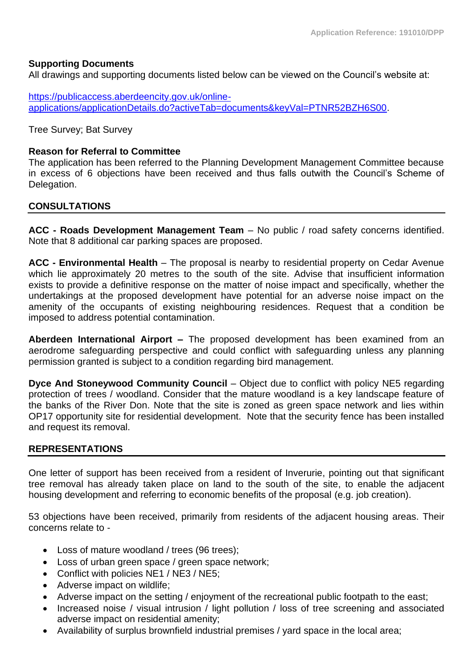# **Supporting Documents**

All drawings and supporting documents listed below can be viewed on the Council's website at:

[https://publicaccess.aberdeencity.gov.uk/online](https://publicaccess.aberdeencity.gov.uk/online-applications/applicationDetails.do?activeTab=documents&keyVal=PTNR52BZH6S00)[applications/applicationDetails.do?activeTab=documents&keyVal=PTNR52BZH6S00.](https://publicaccess.aberdeencity.gov.uk/online-applications/applicationDetails.do?activeTab=documents&keyVal=PTNR52BZH6S00)

Tree Survey; Bat Survey

# **Reason for Referral to Committee**

The application has been referred to the Planning Development Management Committee because in excess of 6 objections have been received and thus falls outwith the Council's Scheme of Delegation.

# **CONSULTATIONS**

**ACC - Roads Development Management Team** – No public / road safety concerns identified. Note that 8 additional car parking spaces are proposed.

**ACC - Environmental Health** – The proposal is nearby to residential property on Cedar Avenue which lie approximately 20 metres to the south of the site. Advise that insufficient information exists to provide a definitive response on the matter of noise impact and specifically, whether the undertakings at the proposed development have potential for an adverse noise impact on the amenity of the occupants of existing neighbouring residences. Request that a condition be imposed to address potential contamination.

**Aberdeen International Airport –** The proposed development has been examined from an aerodrome safeguarding perspective and could conflict with safeguarding unless any planning permission granted is subject to a condition regarding bird management.

**Dyce And Stoneywood Community Council** – Object due to conflict with policy NE5 regarding protection of trees / woodland. Consider that the mature woodland is a key landscape feature of the banks of the River Don. Note that the site is zoned as green space network and lies within OP17 opportunity site for residential development. Note that the security fence has been installed and request its removal.

# **REPRESENTATIONS**

One letter of support has been received from a resident of Inverurie, pointing out that significant tree removal has already taken place on land to the south of the site, to enable the adjacent housing development and referring to economic benefits of the proposal (e.g. job creation).

53 objections have been received, primarily from residents of the adjacent housing areas. Their concerns relate to -

- Loss of mature woodland / trees (96 trees);
- Loss of urban green space / green space network;
- Conflict with policies NE1 / NE3 / NE5;
- Adverse impact on wildlife;
- Adverse impact on the setting / enjoyment of the recreational public footpath to the east;
- Increased noise / visual intrusion / light pollution / loss of tree screening and associated adverse impact on residential amenity;
- Availability of surplus brownfield industrial premises / yard space in the local area;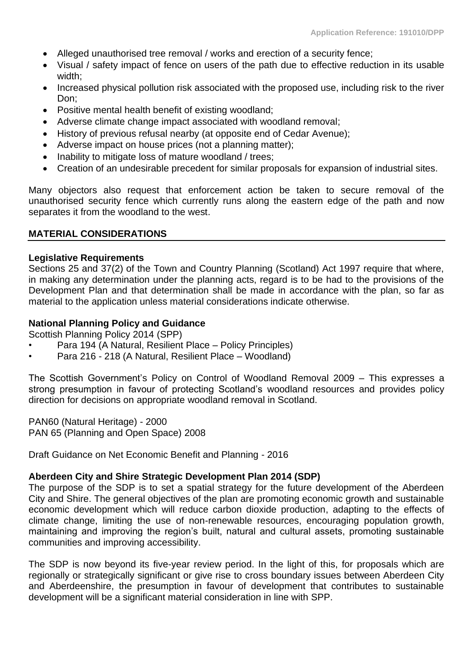- Alleged unauthorised tree removal / works and erection of a security fence;
- Visual / safety impact of fence on users of the path due to effective reduction in its usable width;
- Increased physical pollution risk associated with the proposed use, including risk to the river Don;
- Positive mental health benefit of existing woodland;
- Adverse climate change impact associated with woodland removal;
- History of previous refusal nearby (at opposite end of Cedar Avenue);
- Adverse impact on house prices (not a planning matter);
- Inability to mitigate loss of mature woodland / trees;
- Creation of an undesirable precedent for similar proposals for expansion of industrial sites.

Many objectors also request that enforcement action be taken to secure removal of the unauthorised security fence which currently runs along the eastern edge of the path and now separates it from the woodland to the west.

## **MATERIAL CONSIDERATIONS**

## **Legislative Requirements**

Sections 25 and 37(2) of the Town and Country Planning (Scotland) Act 1997 require that where, in making any determination under the planning acts, regard is to be had to the provisions of the Development Plan and that determination shall be made in accordance with the plan, so far as material to the application unless material considerations indicate otherwise.

# **National Planning Policy and Guidance**

Scottish Planning Policy 2014 (SPP)

- Para 194 (A Natural, Resilient Place Policy Principles)
- Para 216 218 (A Natural, Resilient Place Woodland)

The Scottish Government's Policy on Control of Woodland Removal 2009 – This expresses a strong presumption in favour of protecting Scotland's woodland resources and provides policy direction for decisions on appropriate woodland removal in Scotland.

PAN60 (Natural Heritage) - 2000 PAN 65 (Planning and Open Space) 2008

Draft Guidance on Net Economic Benefit and Planning - 2016

## **Aberdeen City and Shire Strategic Development Plan 2014 (SDP)**

The purpose of the SDP is to set a spatial strategy for the future development of the Aberdeen City and Shire. The general objectives of the plan are promoting economic growth and sustainable economic development which will reduce carbon dioxide production, adapting to the effects of climate change, limiting the use of non-renewable resources, encouraging population growth, maintaining and improving the region's built, natural and cultural assets, promoting sustainable communities and improving accessibility.

The SDP is now beyond its five-year review period. In the light of this, for proposals which are regionally or strategically significant or give rise to cross boundary issues between Aberdeen City and Aberdeenshire, the presumption in favour of development that contributes to sustainable development will be a significant material consideration in line with SPP.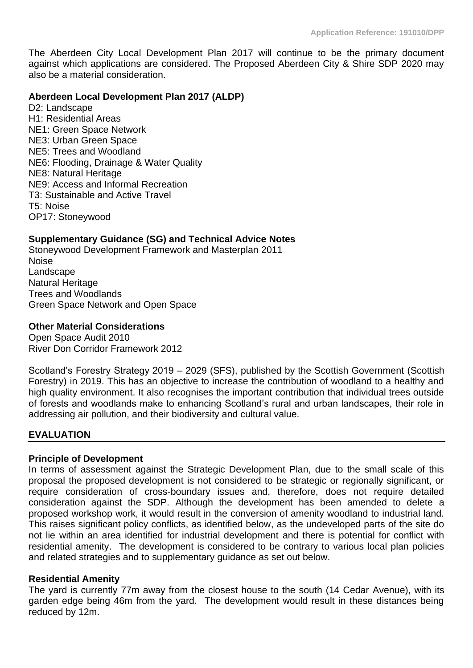The Aberdeen City Local Development Plan 2017 will continue to be the primary document against which applications are considered. The Proposed Aberdeen City & Shire SDP 2020 may also be a material consideration.

## **Aberdeen Local Development Plan 2017 (ALDP)**

D<sub>2</sub>: Landscape H1: Residential Areas NE1: Green Space Network NE3: Urban Green Space NE5: Trees and Woodland NE6: Flooding, Drainage & Water Quality NE8: Natural Heritage NE9: Access and Informal Recreation T3: Sustainable and Active Travel T5: Noise OP17: Stoneywood

# **Supplementary Guidance (SG) and Technical Advice Notes**

Stoneywood Development Framework and Masterplan 2011 **Noise** Landscape Natural Heritage Trees and Woodlands Green Space Network and Open Space

# **Other Material Considerations**

Open Space Audit 2010 River Don Corridor Framework 2012

Scotland's Forestry Strategy 2019 – 2029 (SFS), published by the Scottish Government (Scottish Forestry) in 2019. This has an objective to increase the contribution of woodland to a healthy and high quality environment. It also recognises the important contribution that individual trees outside of forests and woodlands make to enhancing Scotland's rural and urban landscapes, their role in addressing air pollution, and their biodiversity and cultural value.

## **EVALUATION**

## **Principle of Development**

In terms of assessment against the Strategic Development Plan, due to the small scale of this proposal the proposed development is not considered to be strategic or regionally significant, or require consideration of cross-boundary issues and, therefore, does not require detailed consideration against the SDP. Although the development has been amended to delete a proposed workshop work, it would result in the conversion of amenity woodland to industrial land. This raises significant policy conflicts, as identified below, as the undeveloped parts of the site do not lie within an area identified for industrial development and there is potential for conflict with residential amenity. The development is considered to be contrary to various local plan policies and related strategies and to supplementary guidance as set out below.

## **Residential Amenity**

The yard is currently 77m away from the closest house to the south (14 Cedar Avenue), with its garden edge being 46m from the yard. The development would result in these distances being reduced by 12m.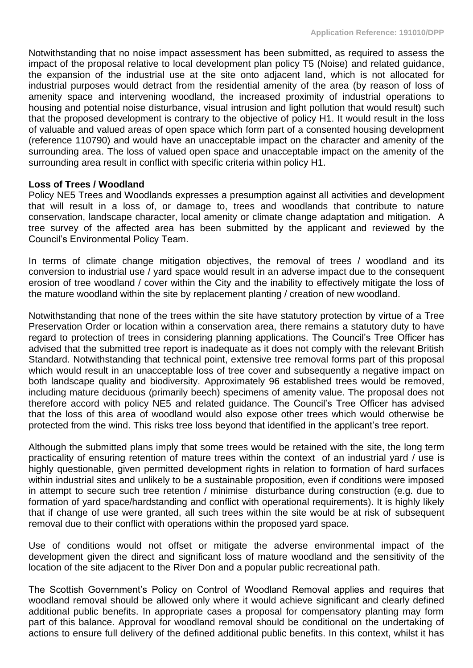Notwithstanding that no noise impact assessment has been submitted, as required to assess the impact of the proposal relative to local development plan policy T5 (Noise) and related guidance, the expansion of the industrial use at the site onto adjacent land, which is not allocated for industrial purposes would detract from the residential amenity of the area (by reason of loss of amenity space and intervening woodland, the increased proximity of industrial operations to housing and potential noise disturbance, visual intrusion and light pollution that would result) such that the proposed development is contrary to the objective of policy H1. It would result in the loss of valuable and valued areas of open space which form part of a consented housing development (reference 110790) and would have an unacceptable impact on the character and amenity of the surrounding area. The loss of valued open space and unacceptable impact on the amenity of the surrounding area result in conflict with specific criteria within policy H1.

# **Loss of Trees / Woodland**

Policy NE5 Trees and Woodlands expresses a presumption against all activities and development that will result in a loss of, or damage to, trees and woodlands that contribute to nature conservation, landscape character, local amenity or climate change adaptation and mitigation. A tree survey of the affected area has been submitted by the applicant and reviewed by the Council's Environmental Policy Team.

In terms of climate change mitigation objectives, the removal of trees / woodland and its conversion to industrial use / yard space would result in an adverse impact due to the consequent erosion of tree woodland / cover within the City and the inability to effectively mitigate the loss of the mature woodland within the site by replacement planting / creation of new woodland.

Notwithstanding that none of the trees within the site have statutory protection by virtue of a Tree Preservation Order or location within a conservation area, there remains a statutory duty to have regard to protection of trees in considering planning applications. The Council's Tree Officer has advised that the submitted tree report is inadequate as it does not comply with the relevant British Standard. Notwithstanding that technical point, extensive tree removal forms part of this proposal which would result in an unacceptable loss of tree cover and subsequently a negative impact on both landscape quality and biodiversity. Approximately 96 established trees would be removed, including mature deciduous (primarily beech) specimens of amenity value. The proposal does not therefore accord with policy NE5 and related guidance. The Council's Tree Officer has advised that the loss of this area of woodland would also expose other trees which would otherwise be protected from the wind. This risks tree loss beyond that identified in the applicant's tree report.

Although the submitted plans imply that some trees would be retained with the site, the long term practicality of ensuring retention of mature trees within the context of an industrial yard / use is highly questionable, given permitted development rights in relation to formation of hard surfaces within industrial sites and unlikely to be a sustainable proposition, even if conditions were imposed in attempt to secure such tree retention / minimise disturbance during construction (e.g. due to formation of yard space/hardstanding and conflict with operational requirements). It is highly likely that if change of use were granted, all such trees within the site would be at risk of subsequent removal due to their conflict with operations within the proposed yard space.

Use of conditions would not offset or mitigate the adverse environmental impact of the development given the direct and significant loss of mature woodland and the sensitivity of the location of the site adjacent to the River Don and a popular public recreational path.

The Scottish Government's Policy on Control of Woodland Removal applies and requires that woodland removal should be allowed only where it would achieve significant and clearly defined additional public benefits. In appropriate cases a proposal for compensatory planting may form part of this balance. Approval for woodland removal should be conditional on the undertaking of actions to ensure full delivery of the defined additional public benefits. In this context, whilst it has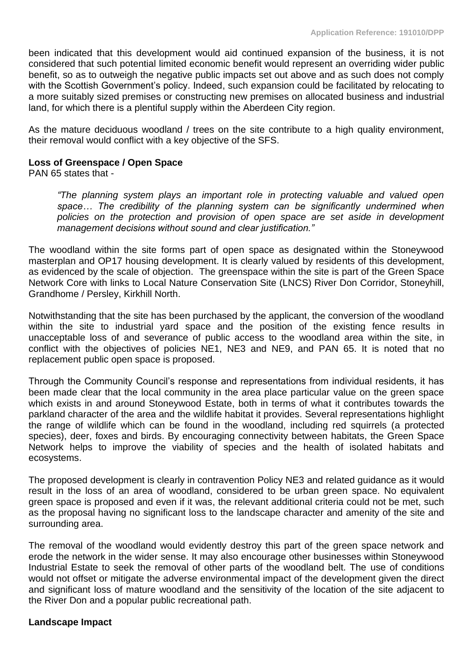been indicated that this development would aid continued expansion of the business, it is not considered that such potential limited economic benefit would represent an overriding wider public benefit, so as to outweigh the negative public impacts set out above and as such does not comply with the Scottish Government's policy. Indeed, such expansion could be facilitated by relocating to a more suitably sized premises or constructing new premises on allocated business and industrial land, for which there is a plentiful supply within the Aberdeen City region.

As the mature deciduous woodland / trees on the site contribute to a high quality environment, their removal would conflict with a key objective of the SFS.

# **Loss of Greenspace / Open Space**

PAN 65 states that -

*"The planning system plays an important role in protecting valuable and valued open*  space... The credibility of the planning system can be significantly undermined when *policies on the protection and provision of open space are set aside in development management decisions without sound and clear justification."*

The woodland within the site forms part of open space as designated within the Stoneywood masterplan and OP17 housing development. It is clearly valued by residents of this development, as evidenced by the scale of objection. The greenspace within the site is part of the Green Space Network Core with links to Local Nature Conservation Site (LNCS) River Don Corridor, Stoneyhill, Grandhome / Persley, Kirkhill North.

Notwithstanding that the site has been purchased by the applicant, the conversion of the woodland within the site to industrial yard space and the position of the existing fence results in unacceptable loss of and severance of public access to the woodland area within the site, in conflict with the objectives of policies NE1, NE3 and NE9, and PAN 65. It is noted that no replacement public open space is proposed.

Through the Community Council's response and representations from individual residents, it has been made clear that the local community in the area place particular value on the green space which exists in and around Stoneywood Estate, both in terms of what it contributes towards the parkland character of the area and the wildlife habitat it provides. Several representations highlight the range of wildlife which can be found in the woodland, including red squirrels (a protected species), deer, foxes and birds. By encouraging connectivity between habitats, the Green Space Network helps to improve the viability of species and the health of isolated habitats and ecosystems.

The proposed development is clearly in contravention Policy NE3 and related guidance as it would result in the loss of an area of woodland, considered to be urban green space. No equivalent green space is proposed and even if it was, the relevant additional criteria could not be met, such as the proposal having no significant loss to the landscape character and amenity of the site and surrounding area.

The removal of the woodland would evidently destroy this part of the green space network and erode the network in the wider sense. It may also encourage other businesses within Stoneywood Industrial Estate to seek the removal of other parts of the woodland belt. The use of conditions would not offset or mitigate the adverse environmental impact of the development given the direct and significant loss of mature woodland and the sensitivity of the location of the site adjacent to the River Don and a popular public recreational path.

## **Landscape Impact**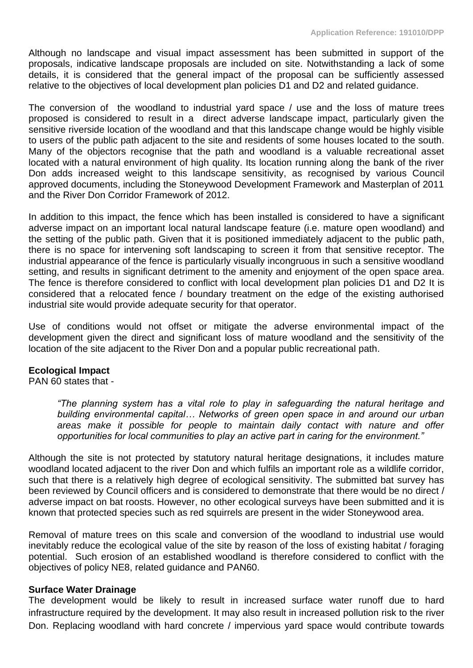Although no landscape and visual impact assessment has been submitted in support of the proposals, indicative landscape proposals are included on site. Notwithstanding a lack of some details, it is considered that the general impact of the proposal can be sufficiently assessed relative to the objectives of local development plan policies D1 and D2 and related guidance.

The conversion of the woodland to industrial yard space / use and the loss of mature trees proposed is considered to result in a direct adverse landscape impact, particularly given the sensitive riverside location of the woodland and that this landscape change would be highly visible to users of the public path adjacent to the site and residents of some houses located to the south. Many of the objectors recognise that the path and woodland is a valuable recreational asset located with a natural environment of high quality. Its location running along the bank of the river Don adds increased weight to this landscape sensitivity, as recognised by various Council approved documents, including the Stoneywood Development Framework and Masterplan of 2011 and the River Don Corridor Framework of 2012.

In addition to this impact, the fence which has been installed is considered to have a significant adverse impact on an important local natural landscape feature (i.e. mature open woodland) and the setting of the public path. Given that it is positioned immediately adjacent to the public path, there is no space for intervening soft landscaping to screen it from that sensitive receptor. The industrial appearance of the fence is particularly visually incongruous in such a sensitive woodland setting, and results in significant detriment to the amenity and enjoyment of the open space area. The fence is therefore considered to conflict with local development plan policies D1 and D2 It is considered that a relocated fence / boundary treatment on the edge of the existing authorised industrial site would provide adequate security for that operator.

Use of conditions would not offset or mitigate the adverse environmental impact of the development given the direct and significant loss of mature woodland and the sensitivity of the location of the site adjacent to the River Don and a popular public recreational path.

# **Ecological Impact**

PAN 60 states that -

*"The planning system has a vital role to play in safeguarding the natural heritage and building environmental capital… Networks of green open space in and around our urban areas make it possible for people to maintain daily contact with nature and offer opportunities for local communities to play an active part in caring for the environment."*

Although the site is not protected by statutory natural heritage designations, it includes mature woodland located adjacent to the river Don and which fulfils an important role as a wildlife corridor, such that there is a relatively high degree of ecological sensitivity. The submitted bat survey has been reviewed by Council officers and is considered to demonstrate that there would be no direct / adverse impact on bat roosts. However, no other ecological surveys have been submitted and it is known that protected species such as red squirrels are present in the wider Stoneywood area.

Removal of mature trees on this scale and conversion of the woodland to industrial use would inevitably reduce the ecological value of the site by reason of the loss of existing habitat / foraging potential. Such erosion of an established woodland is therefore considered to conflict with the objectives of policy NE8, related guidance and PAN60.

## **Surface Water Drainage**

The development would be likely to result in increased surface water runoff due to hard infrastructure required by the development. It may also result in increased pollution risk to the river Don. Replacing woodland with hard concrete / impervious yard space would contribute towards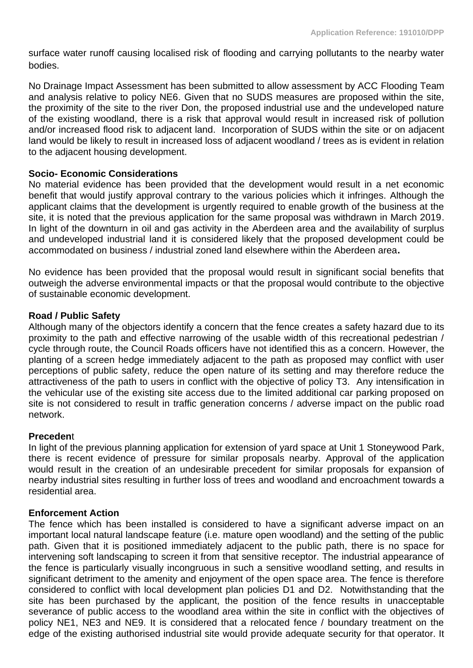surface water runoff causing localised risk of flooding and carrying pollutants to the nearby water bodies.

No Drainage Impact Assessment has been submitted to allow assessment by ACC Flooding Team and analysis relative to policy NE6. Given that no SUDS measures are proposed within the site, the proximity of the site to the river Don, the proposed industrial use and the undeveloped nature of the existing woodland, there is a risk that approval would result in increased risk of pollution and/or increased flood risk to adjacent land. Incorporation of SUDS within the site or on adjacent land would be likely to result in increased loss of adjacent woodland / trees as is evident in relation to the adjacent housing development.

# **Socio- Economic Considerations**

No material evidence has been provided that the development would result in a net economic benefit that would justify approval contrary to the various policies which it infringes. Although the applicant claims that the development is urgently required to enable growth of the business at the site, it is noted that the previous application for the same proposal was withdrawn in March 2019. In light of the downturn in oil and gas activity in the Aberdeen area and the availability of surplus and undeveloped industrial land it is considered likely that the proposed development could be accommodated on business / industrial zoned land elsewhere within the Aberdeen area**.** 

No evidence has been provided that the proposal would result in significant social benefits that outweigh the adverse environmental impacts or that the proposal would contribute to the objective of sustainable economic development.

# **Road / Public Safety**

Although many of the objectors identify a concern that the fence creates a safety hazard due to its proximity to the path and effective narrowing of the usable width of this recreational pedestrian / cycle through route, the Council Roads officers have not identified this as a concern. However, the planting of a screen hedge immediately adjacent to the path as proposed may conflict with user perceptions of public safety, reduce the open nature of its setting and may therefore reduce the attractiveness of the path to users in conflict with the objective of policy T3. Any intensification in the vehicular use of the existing site access due to the limited additional car parking proposed on site is not considered to result in traffic generation concerns / adverse impact on the public road network.

## **Preceden**t

In light of the previous planning application for extension of yard space at Unit 1 Stoneywood Park, there is recent evidence of pressure for similar proposals nearby. Approval of the application would result in the creation of an undesirable precedent for similar proposals for expansion of nearby industrial sites resulting in further loss of trees and woodland and encroachment towards a residential area.

# **Enforcement Action**

The fence which has been installed is considered to have a significant adverse impact on an important local natural landscape feature (i.e. mature open woodland) and the setting of the public path. Given that it is positioned immediately adjacent to the public path, there is no space for intervening soft landscaping to screen it from that sensitive receptor. The industrial appearance of the fence is particularly visually incongruous in such a sensitive woodland setting, and results in significant detriment to the amenity and enjoyment of the open space area. The fence is therefore considered to conflict with local development plan policies D1 and D2. Notwithstanding that the site has been purchased by the applicant, the position of the fence results in unacceptable severance of public access to the woodland area within the site in conflict with the objectives of policy NE1, NE3 and NE9. It is considered that a relocated fence / boundary treatment on the edge of the existing authorised industrial site would provide adequate security for that operator. It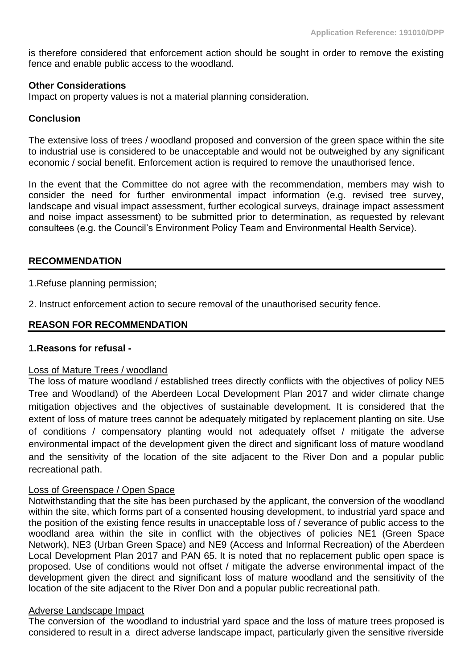is therefore considered that enforcement action should be sought in order to remove the existing fence and enable public access to the woodland.

# **Other Considerations**

Impact on property values is not a material planning consideration.

# **Conclusion**

The extensive loss of trees / woodland proposed and conversion of the green space within the site to industrial use is considered to be unacceptable and would not be outweighed by any significant economic / social benefit. Enforcement action is required to remove the unauthorised fence.

In the event that the Committee do not agree with the recommendation, members may wish to consider the need for further environmental impact information (e.g. revised tree survey, landscape and visual impact assessment, further ecological surveys, drainage impact assessment and noise impact assessment) to be submitted prior to determination, as requested by relevant consultees (e.g. the Council's Environment Policy Team and Environmental Health Service).

# **RECOMMENDATION**

1.Refuse planning permission;

2. Instruct enforcement action to secure removal of the unauthorised security fence.

# **REASON FOR RECOMMENDATION**

## **1.Reasons for refusal -**

## Loss of Mature Trees / woodland

The loss of mature woodland / established trees directly conflicts with the objectives of policy NE5 Tree and Woodland) of the Aberdeen Local Development Plan 2017 and wider climate change mitigation objectives and the objectives of sustainable development. It is considered that the extent of loss of mature trees cannot be adequately mitigated by replacement planting on site. Use of conditions / compensatory planting would not adequately offset / mitigate the adverse environmental impact of the development given the direct and significant loss of mature woodland and the sensitivity of the location of the site adjacent to the River Don and a popular public recreational path.

## Loss of Greenspace / Open Space

Notwithstanding that the site has been purchased by the applicant, the conversion of the woodland within the site, which forms part of a consented housing development, to industrial yard space and the position of the existing fence results in unacceptable loss of / severance of public access to the woodland area within the site in conflict with the objectives of policies NE1 (Green Space Network), NE3 (Urban Green Space) and NE9 (Access and Informal Recreation) of the Aberdeen Local Development Plan 2017 and PAN 65. It is noted that no replacement public open space is proposed. Use of conditions would not offset / mitigate the adverse environmental impact of the development given the direct and significant loss of mature woodland and the sensitivity of the location of the site adjacent to the River Don and a popular public recreational path.

## Adverse Landscape Impact

The conversion of the woodland to industrial yard space and the loss of mature trees proposed is considered to result in a direct adverse landscape impact, particularly given the sensitive riverside